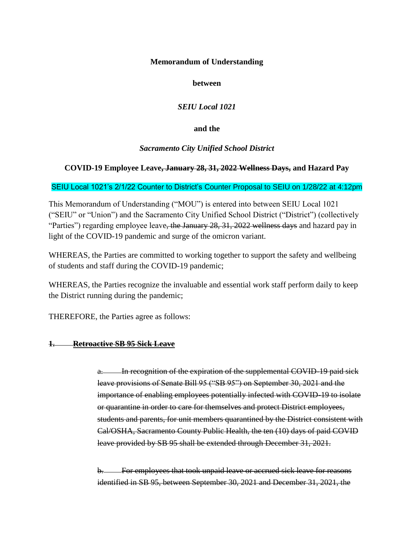## **Memorandum of Understanding**

## **between**

# *SEIU Local 1021*

## **and the**

# *Sacramento City Unified School District*

# **COVID-19 Employee Leave, January 28, 31, 2022 Wellness Days, and Hazard Pay**

## SEIU Local 1021's 2/1/22 Counter to District's Counter Proposal to SEIU on 1/28/22 at 4:12pm

This Memorandum of Understanding ("MOU") is entered into between SEIU Local 1021 ("SEIU" or "Union") and the Sacramento City Unified School District ("District") (collectively "Parties") regarding employee leave, the January 28, 31, 2022 wellness days and hazard pay in light of the COVID-19 pandemic and surge of the omicron variant.

WHEREAS, the Parties are committed to working together to support the safety and wellbeing of students and staff during the COVID-19 pandemic;

WHEREAS, the Parties recognize the invaluable and essential work staff perform daily to keep the District running during the pandemic;

THEREFORE, the Parties agree as follows:

### **1. Retroactive SB 95 Sick Leave**

a. In recognition of the expiration of the supplemental COVID-19 paid sick leave provisions of Senate Bill 95 ("SB 95") on September 30, 2021 and the importance of enabling employees potentially infected with COVID-19 to isolate or quarantine in order to care for themselves and protect District employees, students and parents, for unit members quarantined by the District consistent with Cal/OSHA, Sacramento County Public Health, the ten (10) days of paid COVID leave provided by SB 95 shall be extended through December 31, 2021.

For employees that took unpaid leave or accrued sick leave for reasons identified in SB 95, between September 30, 2021 and December 31, 2021, the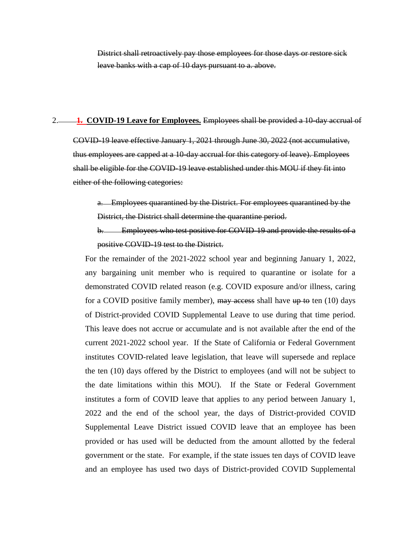District shall retroactively pay those employees for those days or restore sick leave banks with a cap of 10 days pursuant to a. above.

#### 2. **1. COVID-19 Leave for Employees.** Employees shall be provided a 10-day accrual of

COVID-19 leave effective January 1, 2021 through June 30, 2022 (not accumulative, thus employees are capped at a 10-day accrual for this category of leave). Employees shall be eligible for the COVID-19 leave established under this MOU if they fit into either of the following categories:

a. Employees quarantined by the District. For employees quarantined by the District, the District shall determine the quarantine period.

b. Employees who test positive for COVID-19 and provide the results of a positive COVID-19 test to the District.

For the remainder of the 2021-2022 school year and beginning January 1, 2022, any bargaining unit member who is required to quarantine or isolate for a demonstrated COVID related reason (e.g. COVID exposure and/or illness, caring for a COVID positive family member), may access shall have up to ten (10) days of District-provided COVID Supplemental Leave to use during that time period. This leave does not accrue or accumulate and is not available after the end of the current 2021-2022 school year. If the State of California or Federal Government institutes COVID-related leave legislation, that leave will supersede and replace the ten (10) days offered by the District to employees (and will not be subject to the date limitations within this MOU). If the State or Federal Government institutes a form of COVID leave that applies to any period between January 1, 2022 and the end of the school year, the days of District-provided COVID Supplemental Leave District issued COVID leave that an employee has been provided or has used will be deducted from the amount allotted by the federal government or the state. For example, if the state issues ten days of COVID leave and an employee has used two days of District-provided COVID Supplemental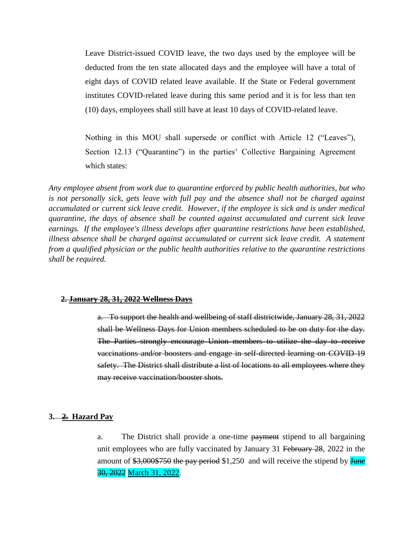Leave District-issued COVID leave, the two days used by the employee will be deducted from the ten state allocated days and the employee will have a total of eight days of COVID related leave available. If the State or Federal government institutes COVID-related leave during this same period and it is for less than ten (10) days, employees shall still have at least 10 days of COVID-related leave.

Nothing in this MOU shall supersede or conflict with Article 12 ("Leaves"), Section 12.13 ("Quarantine") in the parties' Collective Bargaining Agreement which states:

*Any employee absent from work due to quarantine enforced by public health authorities, but who is not personally sick, gets leave with full pay and the absence shall not be charged against accumulated or current sick leave credit. However, if the employee is sick and is under medical quarantine, the days of absence shall be counted against accumulated and current sick leave earnings. If the employee's illness develops after quarantine restrictions have been established, illness absence shall be charged against accumulated or current sick leave credit. A statement from a qualified physician or the public health authorities relative to the quarantine restrictions shall be required.*

#### **2. January 28, 31, 2022 Wellness Days**

a. To support the health and wellbeing of staff districtwide, January 28, 31, 2022 shall be Wellness Days for Union members scheduled to be on duty for the day. The Parties strongly encourage Union members to utilize the day to receive vaccinations and/or boosters and engage in self-directed learning on COVID-19 safety. The District shall distribute a list of locations to all employees where they may receive vaccination/booster shots.

#### **3. 2. Hazard Pay**

a. The District shall provide a one-time payment stipend to all bargaining unit employees who are fully vaccinated by January 31 February 28, 2022 in the amount of  $$3,000$750$  the pay period  $$1,250$  and will receive the stipend by June 30, 2022 March 31, 2022.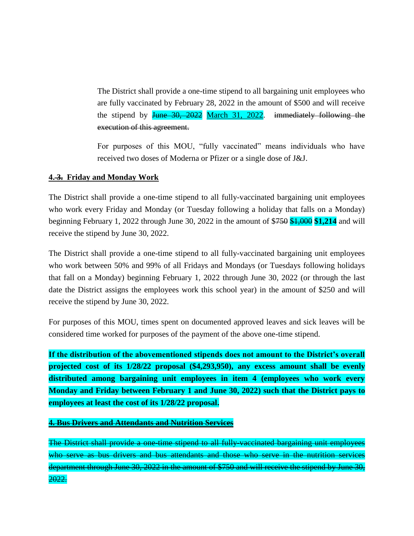The District shall provide a one-time stipend to all bargaining unit employees who are fully vaccinated by February 28, 2022 in the amount of \$500 and will receive the stipend by June 30, 2022 March 31, 2022. immediately following the execution of this agreement.

For purposes of this MOU, "fully vaccinated" means individuals who have received two doses of Moderna or Pfizer or a single dose of J&J.

## **4. 3. Friday and Monday Work**

The District shall provide a one-time stipend to all fully-vaccinated bargaining unit employees who work every Friday and Monday (or Tuesday following a holiday that falls on a Monday) beginning February 1, 2022 through June 30, 2022 in the amount of \$750 \$1,000 **\$1,214** and will receive the stipend by June 30, 2022.

The District shall provide a one-time stipend to all fully-vaccinated bargaining unit employees who work between 50% and 99% of all Fridays and Mondays (or Tuesdays following holidays that fall on a Monday) beginning February 1, 2022 through June 30, 2022 (or through the last date the District assigns the employees work this school year) in the amount of \$250 and will receive the stipend by June 30, 2022.

For purposes of this MOU, times spent on documented approved leaves and sick leaves will be considered time worked for purposes of the payment of the above one-time stipend.

**If the distribution of the abovementioned stipends does not amount to the District's overall projected cost of its 1/28/22 proposal (\$4,293,950), any excess amount shall be evenly distributed among bargaining unit employees in item 4 (employees who work every Monday and Friday between February 1 and June 30, 2022) such that the District pays to employees at least the cost of its 1/28/22 proposal.**

**4. Bus Drivers and Attendants and Nutrition Services**

The District shall provide a one-time stipend to all fully-vaccinated bargaining unit employees who serve as bus drivers and bus attendants and those who serve in the nutrition services department through June 30, 2022 in the amount of \$750 and will receive the stipend by June 30, 2022.